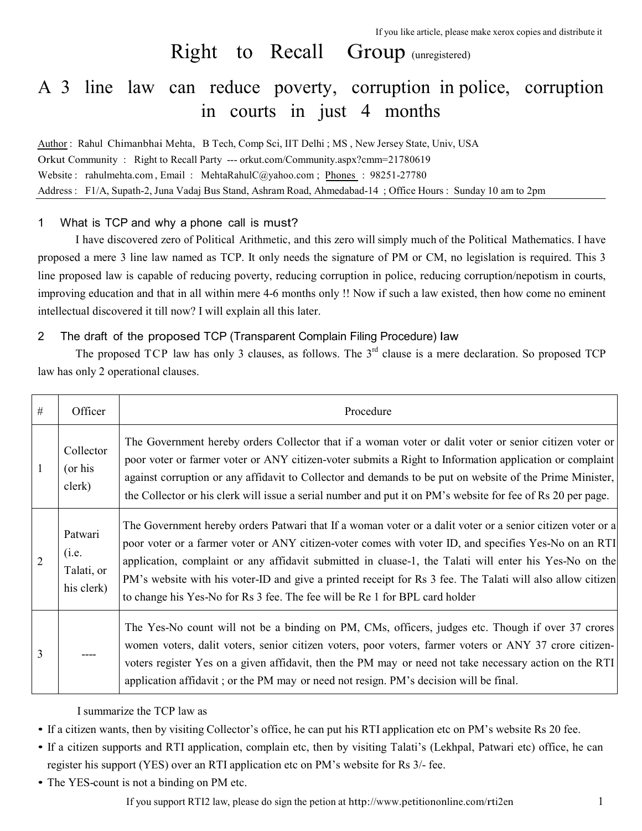# Right to Recall Group (unregistered)

# A 3 line law can reduce poverty, corruption in police, corruption in courts in just 4 months

Author : Rahul Chimanbhai Mehta, B Tech, Comp Sci, IIT Delhi ; MS , New Jersey State, Univ, USA Orkut Community : Right to Recall Party --- orkut.com/Community.aspx?cmm=21780619 Website : rahulmehta.com, Email : MehtaRahulC@yahoo.com ; Phones : 98251-27780 Address : F1/A, Supath-2, Juna Vadaj Bus Stand, Ashram Road, Ahmedabad-14 ; Office Hours : Sunday 10 am to 2pm

# 1 What is TCP and why a phone call is must?

I have discovered zero of Political Arithmetic, and this zero will simply much of the Political Mathematics. I have proposed a mere 3 line law named as TCP. It only needs the signature of PM or CM, no legislation is required. This 3 line proposed law is capable of reducing poverty, reducing corruption in police, reducing corruption/nepotism in courts, improving education and that in all within mere 4-6 months only !! Now if such a law existed, then how come no eminent intellectual discovered it till now? I will explain all this later.

# 2 The draft of the proposed TCP (Transparent Complain Filing Procedure) law

The proposed TCP law has only 3 clauses, as follows. The 3<sup>rd</sup> clause is a mere declaration. So proposed TCP law has only 2 operational clauses.

| $\#$ | Officer                                      | Procedure                                                                                                                                                                                                                                                                                                                                                                                                                                                                                                                  |
|------|----------------------------------------------|----------------------------------------------------------------------------------------------------------------------------------------------------------------------------------------------------------------------------------------------------------------------------------------------------------------------------------------------------------------------------------------------------------------------------------------------------------------------------------------------------------------------------|
|      | Collector<br>(or his<br>clerk)               | The Government hereby orders Collector that if a woman voter or dalit voter or senior citizen voter or<br>poor voter or farmer voter or ANY citizen-voter submits a Right to Information application or complaint<br>against corruption or any affidavit to Collector and demands to be put on website of the Prime Minister,<br>the Collector or his clerk will issue a serial number and put it on PM's website for fee of Rs 20 per page.                                                                               |
|      | Patwari<br>(i.e.<br>Talati, or<br>his clerk) | The Government hereby orders Patwari that If a woman voter or a dalit voter or a senior citizen voter or a<br>poor voter or a farmer voter or ANY citizen-voter comes with voter ID, and specifies Yes-No on an RTI<br>application, complaint or any affidavit submitted in cluase-1, the Talati will enter his Yes-No on the<br>PM's website with his voter-ID and give a printed receipt for Rs 3 fee. The Talati will also allow citizen<br>to change his Yes-No for Rs 3 fee. The fee will be Re 1 for BPL card holder |
| 3    |                                              | The Yes-No count will not be a binding on PM, CMs, officers, judges etc. Though if over 37 crores<br>women voters, dalit voters, senior citizen voters, poor voters, farmer voters or ANY 37 crore citizen-<br>voters register Yes on a given affidavit, then the PM may or need not take necessary action on the RTI<br>application affidavit; or the PM may or need not resign. PM's decision will be final.                                                                                                             |

I summarize the TCP law as

- If a citizen wants, then by visiting Collector's office, he can put his RTI application etc on PM's website Rs 20 fee.
- If a citizen supports and RTI application, complain etc, then by visiting Talati's (Lekhpal, Patwari etc) office, he can register his support (YES) over an RTI application etc on PM's website for Rs 3/- fee.
- The YES-count is not a binding on PM etc.

If you support RTI2 law, please do sign the petion at http://www.petitiononline.com/rti2en 1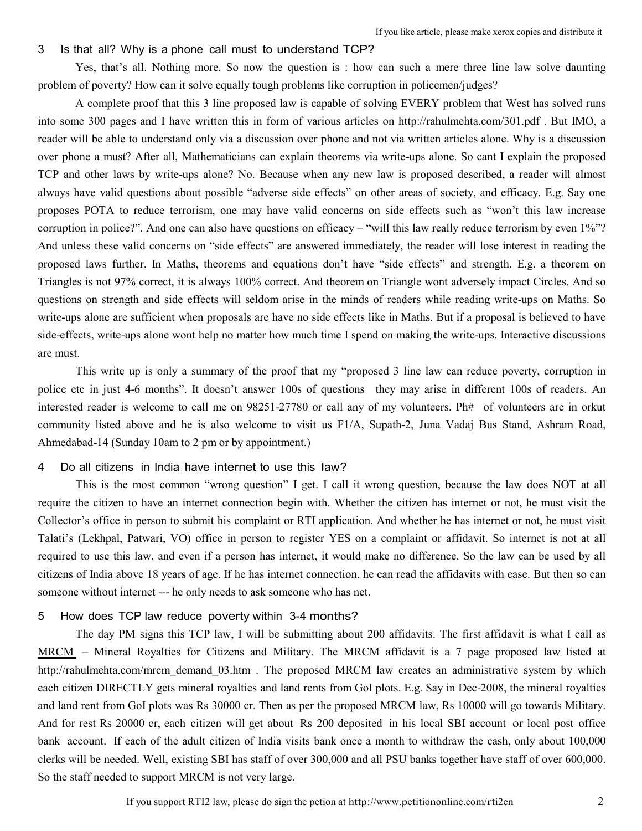#### 3 Is that all? Why is a phone call must to understand TCP?

Yes, that's all. Nothing more. So now the question is : how can such a mere three line law solve daunting problem of poverty? How can it solve equally tough problems like corruption in policemen/judges?

A complete proof that this 3 line proposed law is capable of solving EVERY problem that West has solved runs into some 300 pages and I have written this in form of various articles on http://rahulmehta.com/301.pdf . But IMO, a reader will be able to understand only via a discussion over phone and not via written articles alone. Why is a discussion over phone a must? After all, Mathematicians can explain theorems via write-ups alone. So cant I explain the proposed TCP and other laws by write-ups alone? No. Because when any new law is proposed described, a reader will almost always have valid questions about possible "adverse side effects" on other areas of society, and efficacy. E.g. Say one proposes POTA to reduce terrorism, one may have valid concerns on side effects such as "won't this law increase corruption in police?". And one can also have questions on efficacy – "will this law really reduce terrorism by even  $1\%$ "? And unless these valid concerns on "side effects" are answered immediately, the reader will lose interest in reading the proposed laws further. In Maths, theorems and equations don't have "side effects" and strength. E.g. a theorem on Triangles is not 97% correct, it is always 100% correct. And theorem on Triangle wont adversely impact Circles. And so questions on strength and side effects will seldom arise in the minds of readers while reading write-ups on Maths. So write-ups alone are sufficient when proposals are have no side effects like in Maths. But if a proposal is believed to have side-effects, write-ups alone wont help no matter how much time I spend on making the write-ups. Interactive discussions are must.

This write up is only a summary of the proof that my "proposed 3 line law can reduce poverty, corruption in police etc in just 4-6 months". It doesn't answer 100s of questions they may arise in different 100s of readers. An interested reader is welcome to call me on 98251-27780 or call any of my volunteers. Ph# of volunteers are in orkut community listed above and he is also welcome to visit us F1/A, Supath-2, Juna Vadaj Bus Stand, Ashram Road, Ahmedabad-14 (Sunday 10am to 2 pm or by appointment.)

### 4 Do all citizens in India have internet to use this law?

This is the most common "wrong question" I get. I call it wrong question, because the law does NOT at all require the citizen to have an internet connection begin with. Whether the citizen has internet or not, he must visit the Collector's office in person to submit his complaint or RTI application. And whether he has internet or not, he must visit Talati's (Lekhpal, Patwari, VO) office in person to register YES on a complaint or affidavit. So internet is not at all required to use this law, and even if a person has internet, it would make no difference. So the law can be used by all citizens of India above 18 years of age. If he has internet connection, he can read the affidavits with ease. But then so can someone without internet --- he only needs to ask someone who has net.

#### 5 How does TCP law reduce poverty within 3-4 months?

The day PM signs this TCP law, I will be submitting about 200 affidavits. The first affidavit is what I call as MRCM – Mineral Royalties for Citizens and Military. The MRCM affidavit is a 7 page proposed law listed at http://rahulmehta.com/mrcm\_demand\_03.htm . The proposed MRCM law creates an administrative system by which each citizen DIRECTLY gets mineral royalties and land rents from GoI plots. E.g. Say in Dec-2008, the mineral royalties and land rent from GoI plots was Rs 30000 cr. Then as per the proposed MRCM law, Rs 10000 will go towards Military. And for rest Rs 20000 cr, each citizen will get about Rs 200 deposited in his local SBI account or local post office bank account. If each of the adult citizen of India visits bank once a month to withdraw the cash, only about 100,000 clerks will be needed. Well, existing SBI has staff of over 300,000 and all PSU banks together have staff of over 600,000. So the staff needed to support MRCM is not very large.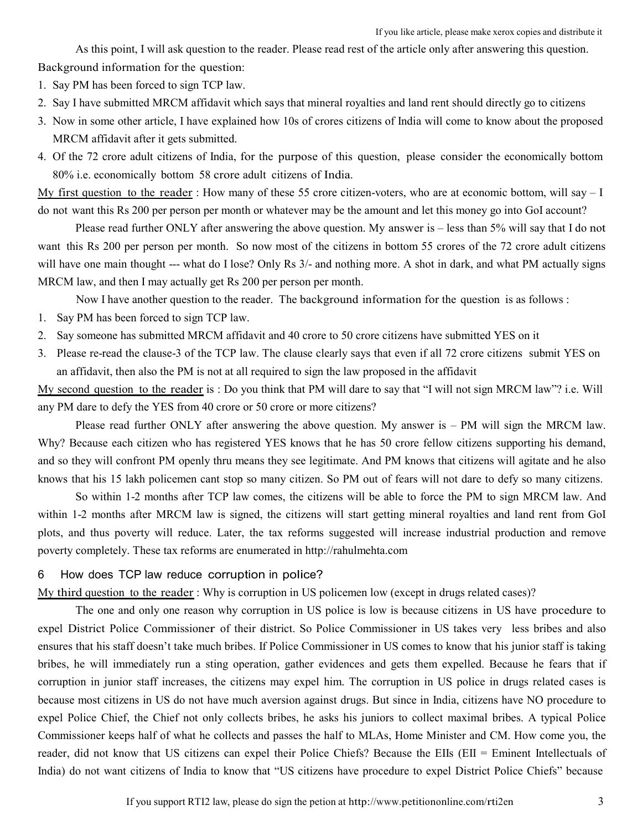As this point, I will ask question to the reader. Please read rest of the article only after answering this question. Background information for the question:

- 1. Say PM has been forced to sign TCP law.
- 2. Say I have submitted MRCM affidavit which says that mineral royalties and land rent should directly go to citizens
- 3. Now in some other article, I have explained how 10s of crores citizens of India will come to know about the proposed MRCM affidavit after it gets submitted.
- 4. Of the 72 crore adult citizens of India, for the purpose of this question, please consider the economically bottom 80% i.e. economically bottom 58 crore adult citizens of India.

My first question to the reader : How many of these 55 crore citizen-voters, who are at economic bottom, will say  $-1$ do not want this Rs 200 per person per month or whatever may be the amount and let this money go into GoI account?

Please read further ONLY after answering the above question. My answer is – less than 5% will say that I do not want this Rs 200 per person per month. So now most of the citizens in bottom 55 crores of the 72 crore adult citizens will have one main thought --- what do I lose? Only Rs 3/- and nothing more. A shot in dark, and what PM actually signs MRCM law, and then I may actually get Rs 200 per person per month.

Now I have another question to the reader. The background information for the question is as follows :

- 1. Say PM has been forced to sign TCP law.
- 2. Say someone has submitted MRCM affidavit and 40 crore to 50 crore citizens have submitted YES on it
- 3. Please re-read the clause-3 of the TCP law. The clause clearly says that even if all 72 crore citizens submit YES on an affidavit, then also the PM is not at all required to sign the law proposed in the affidavit

My second question to the reader is : Do you think that PM will dare to say that "I will not sign MRCM law"? i.e. Will any PM dare to defy the YES from 40 crore or 50 crore or more citizens?

Please read further ONLY after answering the above question. My answer is – PM will sign the MRCM law. Why? Because each citizen who has registered YES knows that he has 50 crore fellow citizens supporting his demand, and so they will confront PM openly thru means they see legitimate. And PM knows that citizens will agitate and he also knows that his 15 lakh policemen cant stop so many citizen. So PM out of fears will not dare to defy so many citizens.

So within 1-2 months after TCP law comes, the citizens will be able to force the PM to sign MRCM law. And within 1-2 months after MRCM law is signed, the citizens will start getting mineral royalties and land rent from GoI plots, and thus poverty will reduce. Later, the tax reforms suggested will increase industrial production and remove poverty completely. These tax reforms are enumerated in http://rahulmehta.com

### 6 How does TCP law reduce corruption in police?

My third question to the reader : Why is corruption in US policemen low (except in drugs related cases)?

The one and only one reason why corruption in US police is low is because citizens in US have procedure to expel District Police Commissioner of their district. So Police Commissioner in US takes very less bribes and also ensures that his staff doesn't take much bribes. If Police Commissioner in US comes to know that his junior staff is taking bribes, he will immediately run a sting operation, gather evidences and gets them expelled. Because he fears that if corruption in junior staff increases, the citizens may expel him. The corruption in US police in drugs related cases is because most citizens in US do not have much aversion against drugs. But since in India, citizens have NO procedure to expel Police Chief, the Chief not only collects bribes, he asks his juniors to collect maximal bribes. A typical Police Commissioner keeps half of what he collects and passes the half to MLAs, Home Minister and CM. How come you, the reader, did not know that US citizens can expel their Police Chiefs? Because the EIIs (EII = Eminent Intellectuals of India) do not want citizens of India to know that "US citizens have procedure to expel District Police Chiefs" because